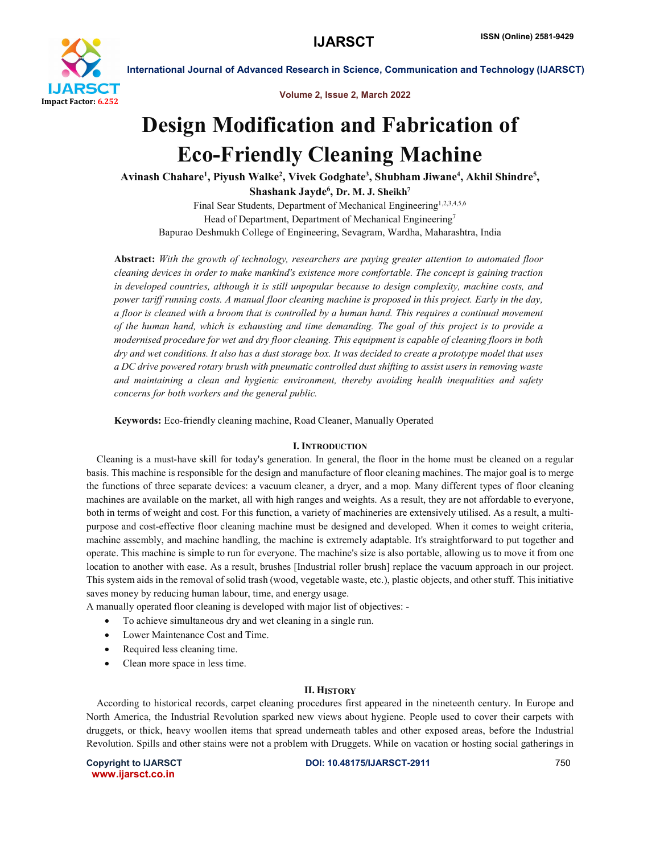

Volume 2, Issue 2, March 2022

# Design Modification and Fabrication of Eco-Friendly Cleaning Machine

Avinash Chahare<sup>1</sup>, Piyush Walke<sup>2</sup>, Vivek Godghate<sup>3</sup>, Shubham Jiwane<sup>4</sup>, Akhil Shindre<sup>5</sup>,

Shashank Jayde $^6$ , Dr. M. J. Sheikh $^7$ 

Final Sear Students, Department of Mechanical Engineering<sup>1,2,3,4,5,6</sup> Head of Department, Department of Mechanical Engineering<sup>7</sup> Bapurao Deshmukh College of Engineering, Sevagram, Wardha, Maharashtra, India

Abstract: *With the growth of technology, researchers are paying greater attention to automated floor cleaning devices in order to make mankind's existence more comfortable. The concept is gaining traction in developed countries, although it is still unpopular because to design complexity, machine costs, and power tariff running costs. A manual floor cleaning machine is proposed in this project. Early in the day, a floor is cleaned with a broom that is controlled by a human hand. This requires a continual movement of the human hand, which is exhausting and time demanding. The goal of this project is to provide a modernised procedure for wet and dry floor cleaning. This equipment is capable of cleaning floors in both dry and wet conditions. It also has a dust storage box. It was decided to create a prototype model that uses a DC drive powered rotary brush with pneumatic controlled dust shifting to assist users in removing waste and maintaining a clean and hygienic environment, thereby avoiding health inequalities and safety concerns for both workers and the general public.*

Keywords: Eco-friendly cleaning machine, Road Cleaner, Manually Operated

### I. INTRODUCTION

 Cleaning is a must-have skill for today's generation. In general, the floor in the home must be cleaned on a regular basis. This machine is responsible for the design and manufacture of floor cleaning machines. The major goal is to merge the functions of three separate devices: a vacuum cleaner, a dryer, and a mop. Many different types of floor cleaning machines are available on the market, all with high ranges and weights. As a result, they are not affordable to everyone, both in terms of weight and cost. For this function, a variety of machineries are extensively utilised. As a result, a multipurpose and cost-effective floor cleaning machine must be designed and developed. When it comes to weight criteria, machine assembly, and machine handling, the machine is extremely adaptable. It's straightforward to put together and operate. This machine is simple to run for everyone. The machine's size is also portable, allowing us to move it from one location to another with ease. As a result, brushes [Industrial roller brush] replace the vacuum approach in our project. This system aids in the removal of solid trash (wood, vegetable waste, etc.), plastic objects, and other stuff. This initiative saves money by reducing human labour, time, and energy usage.

A manually operated floor cleaning is developed with major list of objectives: -

- To achieve simultaneous dry and wet cleaning in a single run.
- Lower Maintenance Cost and Time.
- Required less cleaning time.
- Clean more space in less time.

### II. HISTORY

 According to historical records, carpet cleaning procedures first appeared in the nineteenth century. In Europe and North America, the Industrial Revolution sparked new views about hygiene. People used to cover their carpets with druggets, or thick, heavy woollen items that spread underneath tables and other exposed areas, before the Industrial Revolution. Spills and other stains were not a problem with Druggets. While on vacation or hosting social gatherings in

www.ijarsct.co.in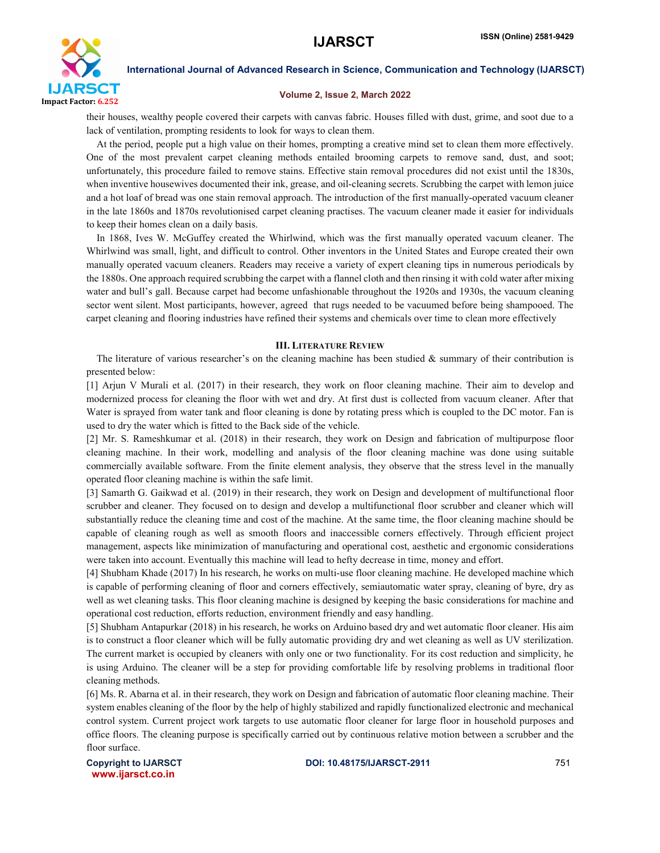

#### Volume 2, Issue 2, March 2022

their houses, wealthy people covered their carpets with canvas fabric. Houses filled with dust, grime, and soot due to a lack of ventilation, prompting residents to look for ways to clean them.

 At the period, people put a high value on their homes, prompting a creative mind set to clean them more effectively. One of the most prevalent carpet cleaning methods entailed brooming carpets to remove sand, dust, and soot; unfortunately, this procedure failed to remove stains. Effective stain removal procedures did not exist until the 1830s, when inventive housewives documented their ink, grease, and oil-cleaning secrets. Scrubbing the carpet with lemon juice and a hot loaf of bread was one stain removal approach. The introduction of the first manually-operated vacuum cleaner in the late 1860s and 1870s revolutionised carpet cleaning practises. The vacuum cleaner made it easier for individuals to keep their homes clean on a daily basis.

 In 1868, Ives W. McGuffey created the Whirlwind, which was the first manually operated vacuum cleaner. The Whirlwind was small, light, and difficult to control. Other inventors in the United States and Europe created their own manually operated vacuum cleaners. Readers may receive a variety of expert cleaning tips in numerous periodicals by the 1880s. One approach required scrubbing the carpet with a flannel cloth and then rinsing it with cold water after mixing water and bull's gall. Because carpet had become unfashionable throughout the 1920s and 1930s, the vacuum cleaning sector went silent. Most participants, however, agreed that rugs needed to be vacuumed before being shampooed. The carpet cleaning and flooring industries have refined their systems and chemicals over time to clean more effectively

#### III. LITERATURE REVIEW

The literature of various researcher's on the cleaning machine has been studied  $\&$  summary of their contribution is presented below:

[1] Arjun V Murali et al. (2017) in their research, they work on floor cleaning machine. Their aim to develop and modernized process for cleaning the floor with wet and dry. At first dust is collected from vacuum cleaner. After that Water is sprayed from water tank and floor cleaning is done by rotating press which is coupled to the DC motor. Fan is used to dry the water which is fitted to the Back side of the vehicle.

[2] Mr. S. Rameshkumar et al. (2018) in their research, they work on Design and fabrication of multipurpose floor cleaning machine. In their work, modelling and analysis of the floor cleaning machine was done using suitable commercially available software. From the finite element analysis, they observe that the stress level in the manually operated floor cleaning machine is within the safe limit.

[3] Samarth G. Gaikwad et al. (2019) in their research, they work on Design and development of multifunctional floor scrubber and cleaner. They focused on to design and develop a multifunctional floor scrubber and cleaner which will substantially reduce the cleaning time and cost of the machine. At the same time, the floor cleaning machine should be capable of cleaning rough as well as smooth floors and inaccessible corners effectively. Through efficient project management, aspects like minimization of manufacturing and operational cost, aesthetic and ergonomic considerations were taken into account. Eventually this machine will lead to hefty decrease in time, money and effort.

[4] Shubham Khade (2017) In his research, he works on multi-use floor cleaning machine. He developed machine which is capable of performing cleaning of floor and corners effectively, semiautomatic water spray, cleaning of byre, dry as well as wet cleaning tasks. This floor cleaning machine is designed by keeping the basic considerations for machine and operational cost reduction, efforts reduction, environment friendly and easy handling.

[5] Shubham Antapurkar (2018) in his research, he works on Arduino based dry and wet automatic floor cleaner. His aim is to construct a floor cleaner which will be fully automatic providing dry and wet cleaning as well as UV sterilization. The current market is occupied by cleaners with only one or two functionality. For its cost reduction and simplicity, he is using Arduino. The cleaner will be a step for providing comfortable life by resolving problems in traditional floor cleaning methods.

[6] Ms. R. Abarna et al. in their research, they work on Design and fabrication of automatic floor cleaning machine. Their system enables cleaning of the floor by the help of highly stabilized and rapidly functionalized electronic and mechanical control system. Current project work targets to use automatic floor cleaner for large floor in household purposes and office floors. The cleaning purpose is specifically carried out by continuous relative motion between a scrubber and the floor surface.

www.ijarsct.co.in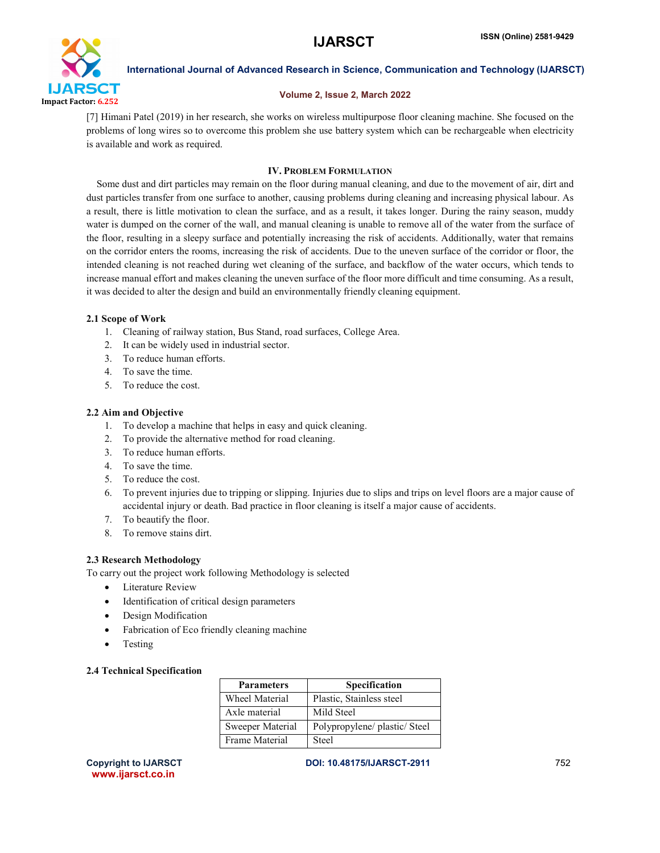

### Volume 2, Issue 2, March 2022

[7] Himani Patel (2019) in her research, she works on wireless multipurpose floor cleaning machine. She focused on the problems of long wires so to overcome this problem she use battery system which can be rechargeable when electricity is available and work as required.

# IV. PROBLEM FORMULATION

 Some dust and dirt particles may remain on the floor during manual cleaning, and due to the movement of air, dirt and dust particles transfer from one surface to another, causing problems during cleaning and increasing physical labour. As a result, there is little motivation to clean the surface, and as a result, it takes longer. During the rainy season, muddy water is dumped on the corner of the wall, and manual cleaning is unable to remove all of the water from the surface of the floor, resulting in a sleepy surface and potentially increasing the risk of accidents. Additionally, water that remains on the corridor enters the rooms, increasing the risk of accidents. Due to the uneven surface of the corridor or floor, the intended cleaning is not reached during wet cleaning of the surface, and backflow of the water occurs, which tends to increase manual effort and makes cleaning the uneven surface of the floor more difficult and time consuming. As a result, it was decided to alter the design and build an environmentally friendly cleaning equipment.

# 2.1 Scope of Work

- 1. Cleaning of railway station, Bus Stand, road surfaces, College Area.
- 2. It can be widely used in industrial sector.
- 3. To reduce human efforts.
- 4. To save the time.
- 5. To reduce the cost.

### 2.2 Aim and Objective

- 1. To develop a machine that helps in easy and quick cleaning.
- 2. To provide the alternative method for road cleaning.
- 3. To reduce human efforts.
- 4. To save the time.
- 5. To reduce the cost.
- 6. To prevent injuries due to tripping or slipping. Injuries due to slips and trips on level floors are a major cause of accidental injury or death. Bad practice in floor cleaning is itself a major cause of accidents.
- 7. To beautify the floor.
- 8. To remove stains dirt.

### 2.3 Research Methodology

To carry out the project work following Methodology is selected

- Literature Review
- Identification of critical design parameters
- Design Modification
- Fabrication of Eco friendly cleaning machine
- Testing

### 2.4 Technical Specification

| <b>Parameters</b> | <b>Specification</b>          |
|-------------------|-------------------------------|
| Wheel Material    | Plastic, Stainless steel      |
| Axle material     | Mild Steel                    |
| Sweeper Material  | Polypropylene/ plastic/ Steel |
| Frame Material    | Steel                         |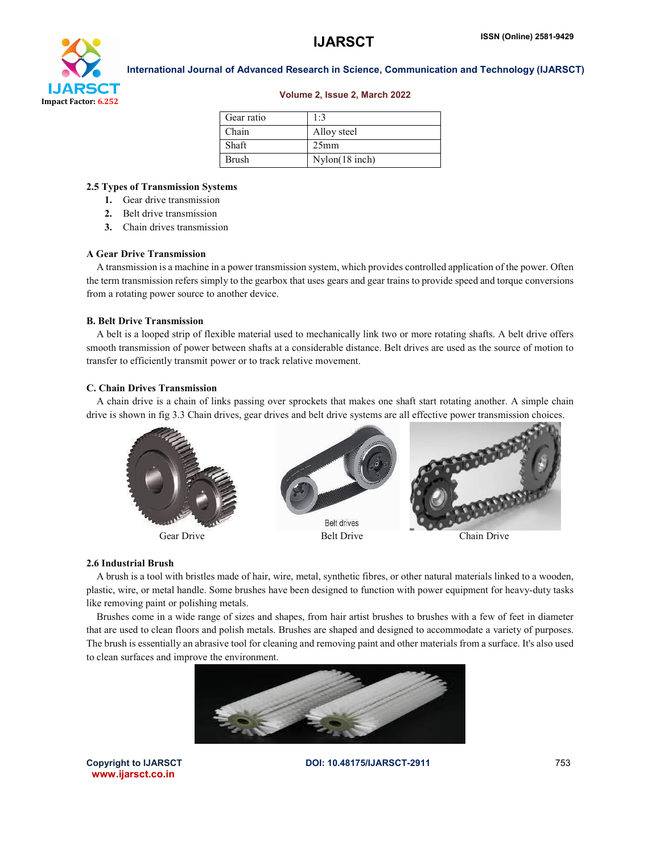

#### Volume 2, Issue 2, March 2022

| Gear ratio   | $1-3$            |
|--------------|------------------|
| Chain        | Alloy steel      |
| Shaft        | 25 <sub>mm</sub> |
| <b>Brush</b> | $Nylon(18$ inch) |

# 2.5 Types of Transmission Systems

- 1. Gear drive transmission
- 2. Belt drive transmission
- 3. Chain drives transmission

# A Gear Drive Transmission

 A transmission is a machine in a power transmission system, which provides controlled application of the power. Often the term transmission refers simply to the gearbox that uses gears and gear trains to provide speed and torque conversions from a rotating power source to another device.

#### B. Belt Drive Transmission

 A belt is a looped strip of flexible material used to mechanically link two or more rotating shafts. A belt drive offers smooth transmission of power between shafts at a considerable distance. Belt drives are used as the source of motion to transfer to efficiently transmit power or to track relative movement.

### C. Chain Drives Transmission

 A chain drive is a chain of links passing over sprockets that makes one shaft start rotating another. A simple chain drive is shown in fig 3.3 Chain drives, gear drives and belt drive systems are all effective power transmission choices.



### 2.6 Industrial Brush

 A brush is a tool with bristles made of hair, wire, metal, synthetic fibres, or other natural materials linked to a wooden, plastic, wire, or metal handle. Some brushes have been designed to function with power equipment for heavy-duty tasks like removing paint or polishing metals.

 Brushes come in a wide range of sizes and shapes, from hair artist brushes to brushes with a few of feet in diameter that are used to clean floors and polish metals. Brushes are shaped and designed to accommodate a variety of purposes. The brush is essentially an abrasive tool for cleaning and removing paint and other materials from a surface. It's also used to clean surfaces and improve the environment.



www.ijarsct.co.in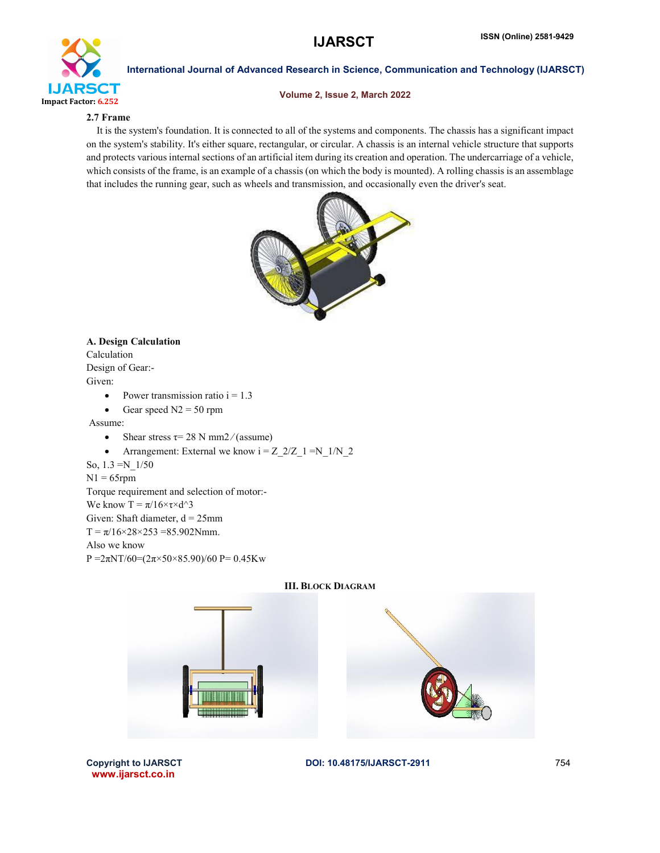

# Volume 2, Issue 2, March 2022

# 2.7 Frame

 It is the system's foundation. It is connected to all of the systems and components. The chassis has a significant impact on the system's stability. It's either square, rectangular, or circular. A chassis is an internal vehicle structure that supports and protects various internal sections of an artificial item during its creation and operation. The undercarriage of a vehicle, which consists of the frame, is an example of a chassis (on which the body is mounted). A rolling chassis is an assemblage that includes the running gear, such as wheels and transmission, and occasionally even the driver's seat.



# A. Design Calculation

Calculation Design of Gear:- Given:

- Power transmission ratio  $i = 1.3$
- Gear speed  $N2 = 50$  rpm

Assume:

- Shear stress  $\tau$  = 28 N mm2/(assume)
- Arrangement: External we know  $i = Z_2/Z_1 = N_1/N_2$

So, 1.3 =N\_1/50

 $N1 = 65$ rpm

Torque requirement and selection of motor:-

We know  $T = \pi/16 \times \tau \times d^3$ 

Given: Shaft diameter,  $d = 25$ mm

 $T = \pi/16 \times 28 \times 253 = 85.902$ Nmm.

Also we know

P =  $2\pi N T/60 = (2\pi \times 50 \times 85.90)/60$  P = 0.45Kw





www.ijarsct.co.in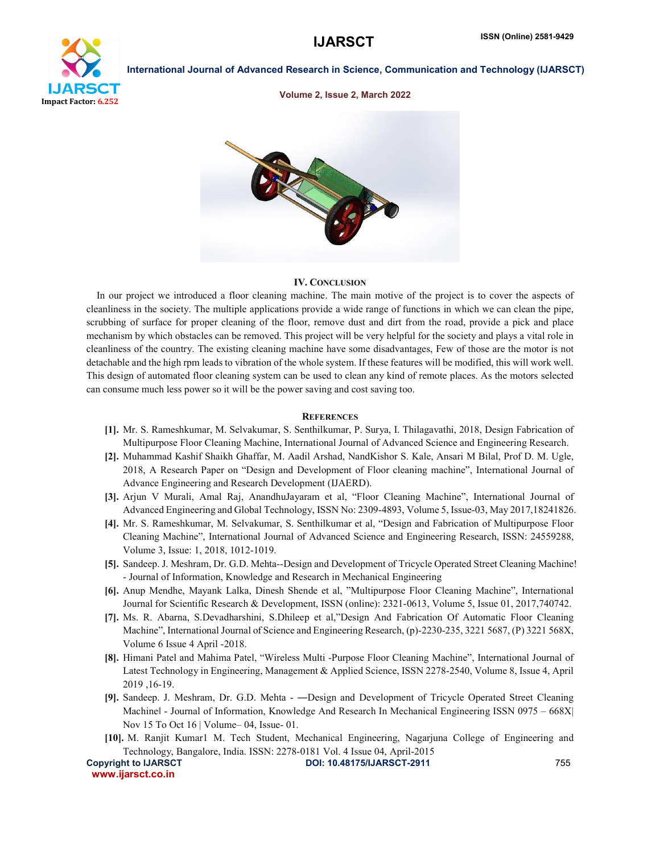

#### Volume 2, Issue 2, March 2022



#### IV. CONCLUSION

 In our project we introduced a floor cleaning machine. The main motive of the project is to cover the aspects of cleanliness in the society. The multiple applications provide a wide range of functions in which we can clean the pipe, scrubbing of surface for proper cleaning of the floor, remove dust and dirt from the road, provide a pick and place mechanism by which obstacles can be removed. This project will be very helpful for the society and plays a vital role in cleanliness of the country. The existing cleaning machine have some disadvantages, Few of those are the motor is not detachable and the high rpm leads to vibration of the whole system. If these features will be modified, this will work well. This design of automated floor cleaning system can be used to clean any kind of remote places. As the motors selected can consume much less power so it will be the power saving and cost saving too.

#### **REFERENCES**

- [1]. Mr. S. Rameshkumar, M. Selvakumar, S. Senthilkumar, P. Surya, I. Thilagavathi, 2018, Design Fabrication of Multipurpose Floor Cleaning Machine, International Journal of Advanced Science and Engineering Research.
- [2]. Muhammad Kashif Shaikh Ghaffar, M. Aadil Arshad, NandKishor S. Kale, Ansari M Bilal, Prof D. M. Ugle, 2018, A Research Paper on "Design and Development of Floor cleaning machine", International Journal of Advance Engineering and Research Development (IJAERD).
- [3]. Arjun V Murali, Amal Raj, AnandhuJayaram et al, "Floor Cleaning Machine", International Journal of Advanced Engineering and Global Technology, ISSN No: 2309-4893, Volume 5, Issue-03, May 2017,18241826.
- [4]. Mr. S. Rameshkumar, M. Selvakumar, S. Senthilkumar et al, "Design and Fabrication of Multipurpose Floor Cleaning Machine", International Journal of Advanced Science and Engineering Research, ISSN: 24559288, Volume 3, Issue: 1, 2018, 1012-1019.
- [5]. Sandeep. J. Meshram, Dr. G.D. Mehta--Design and Development of Tricycle Operated Street Cleaning Machine! - Journal of Information, Knowledge and Research in Mechanical Engineering
- [6]. Anup Mendhe, Mayank Lalka, Dinesh Shende et al, "Multipurpose Floor Cleaning Machine", International Journal for Scientific Research & Development, ISSN (online): 2321-0613, Volume 5, Issue 01, 2017,740742.
- [7]. Ms. R. Abarna, S.Devadharshini, S.Dhileep et al,"Design And Fabrication Of Automatic Floor Cleaning Machine", International Journal of Science and Engineering Research, (p)-2230-235, 3221 5687, (P) 3221 568X, Volume 6 Issue 4 April -2018.
- [8]. Himani Patel and Mahima Patel, "Wireless Multi -Purpose Floor Cleaning Machine", International Journal of Latest Technology in Engineering, Management & Applied Science, ISSN 2278-2540, Volume 8, Issue 4, April 2019 ,16-19.
- [9]. Sandeep. J. Meshram, Dr. G.D. Mehta ―Design and Development of Tricycle Operated Street Cleaning Machinel - Journal of Information, Knowledge And Research In Mechanical Engineering ISSN 0975 – 668X Nov 15 To Oct 16 | Volume– 04, Issue- 01.
- [10]. M. Ranjit Kumar1 M. Tech Student, Mechanical Engineering, Nagarjuna College of Engineering and Technology, Bangalore, India. ISSN: 2278-0181 Vol. 4 Issue 04, April-2015

```
 www.ijarsct.co.in
```